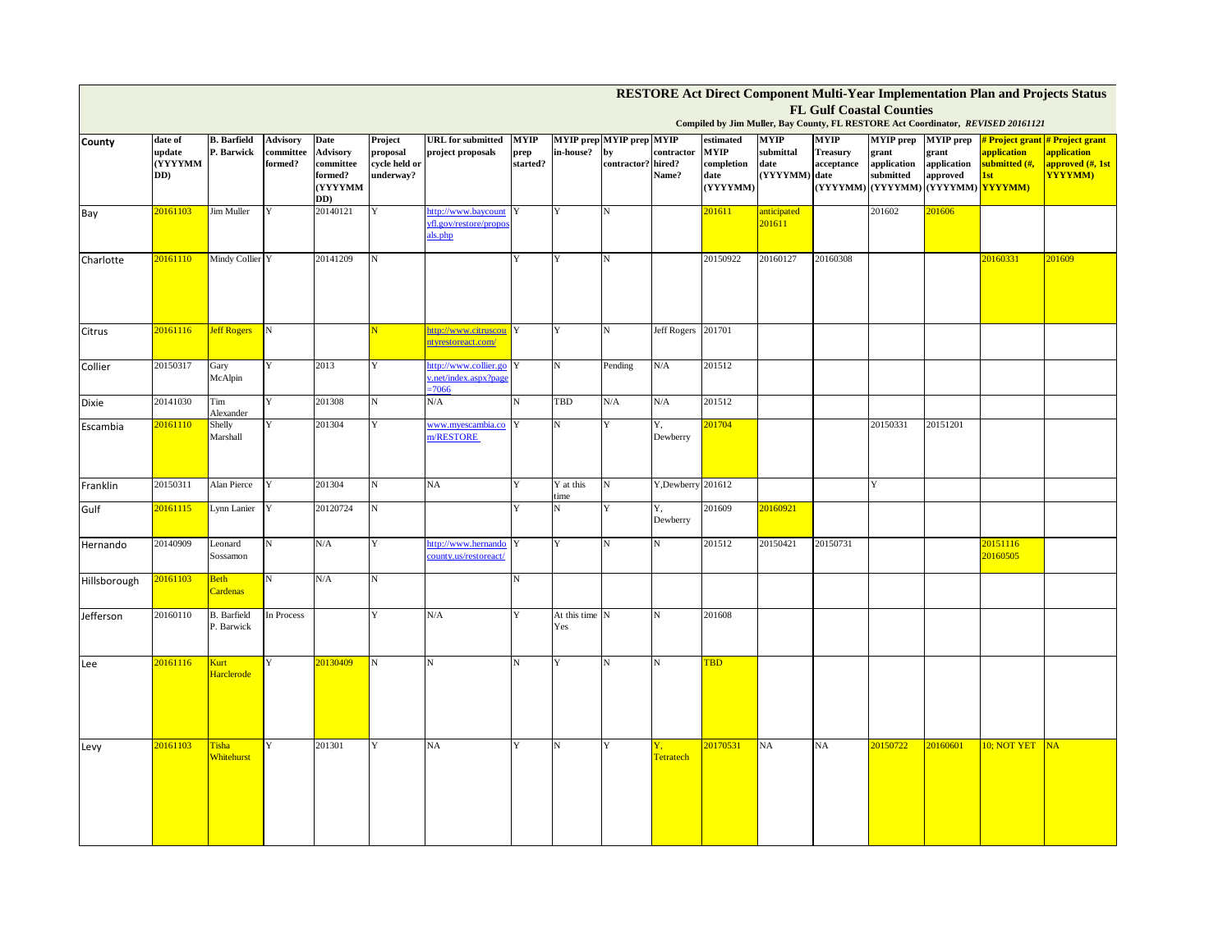| RESTORE Act Direct Component Multi-Year Implementation Plan and Projects Status                                     |                                     |                                  |                                         |                                                            |                                                   |                                                          |                          |                       |                                                             |                     |                                                            |                                                   |                                              |                                                       |                                                                                                         |                                     |                                                                                      |
|---------------------------------------------------------------------------------------------------------------------|-------------------------------------|----------------------------------|-----------------------------------------|------------------------------------------------------------|---------------------------------------------------|----------------------------------------------------------|--------------------------|-----------------------|-------------------------------------------------------------|---------------------|------------------------------------------------------------|---------------------------------------------------|----------------------------------------------|-------------------------------------------------------|---------------------------------------------------------------------------------------------------------|-------------------------------------|--------------------------------------------------------------------------------------|
| <b>FL Gulf Coastal Counties</b><br>Compiled by Jim Muller, Bay County, FL RESTORE Act Coordinator, REVISED 20161121 |                                     |                                  |                                         |                                                            |                                                   |                                                          |                          |                       |                                                             |                     |                                                            |                                                   |                                              |                                                       |                                                                                                         |                                     |                                                                                      |
| County                                                                                                              | date of<br>update<br>(YYYYMM<br>DD) | <b>B.</b> Barfield<br>P. Barwick | <b>Advisory</b><br>committee<br>formed? | Date<br>Advisory<br>committee<br>formed?<br>(YYYYMM<br>DD) | Project<br>proposal<br>cycle held or<br>underway? | <b>URL</b> for submitted<br>project proposals            | MYIP<br>prep<br>started? | in-house?             | <b>MYIP</b> prep MYIP prep MYIP<br>by<br>contractor? hired? | contractor<br>Name? | estimated<br><b>MYIP</b><br>completion<br>date<br>(YYYYMM) | <b>MYIP</b><br>submittal<br>date<br>(YYYYMM) date | <b>MYIP</b><br><b>Treasury</b><br>acceptance | <b>MYIP</b> prep<br>grant<br>application<br>submitted | <b>MYIP</b> prep<br>grant<br>application<br>approved<br>(YYYYMM) (YYYYMM) (YYYYMM) <mark>YYYYMM)</mark> | application<br>submitted (#,<br>1st | # Project grant # Project grant<br>application<br>approved (#, 1st<br><b>YYYYMM)</b> |
| Bay                                                                                                                 | 20161103                            | Jim Muller                       | Y                                       | 20140121                                                   | $\mathbf Y$                                       | http://www.baycount<br>yfl.gov/restore/propo<br>als.php  | Y                        | Y                     | N                                                           |                     | 201611                                                     | anticipated<br>201611                             |                                              | 201602                                                | 201606                                                                                                  |                                     |                                                                                      |
| Charlotte                                                                                                           | 20161110                            | Mindy Collier Y                  |                                         | 20141209                                                   | N                                                 |                                                          | Y                        | Y                     | N                                                           |                     | 20150922                                                   | 20160127                                          | 20160308                                     |                                                       |                                                                                                         | 20160331                            | 201609                                                                               |
| Citrus                                                                                                              | 20161116                            | <b>Jeff Rogers</b>               | $_{\rm N}$                              |                                                            |                                                   | http://www.citruscou<br>ntyrestoreact.com/               | Y                        | Y                     | N                                                           | Jeff Rogers 201701  |                                                            |                                                   |                                              |                                                       |                                                                                                         |                                     |                                                                                      |
| Collier                                                                                                             | 20150317                            | Gary<br>McAlpin                  | Y                                       | 2013                                                       | Y                                                 | http://www.collier.go<br>.net/index.aspx?page<br>$-7066$ | Y                        | $_{\rm N}$            | Pending                                                     | N/A                 | 201512                                                     |                                                   |                                              |                                                       |                                                                                                         |                                     |                                                                                      |
| Dixie                                                                                                               | 20141030                            | Tim<br>Alexander                 | Y                                       | 201308                                                     | $_{\rm N}$                                        | N/A                                                      |                          | TBD                   | N/A                                                         | N/A                 | 201512                                                     |                                                   |                                              |                                                       |                                                                                                         |                                     |                                                                                      |
| Escambia                                                                                                            | 20161110                            | Shelly<br>Marshall               |                                         | 201304                                                     | Y                                                 | www.myescambia.co<br>m/RESTORE                           |                          | N                     | Y                                                           | Y.<br>Dewberry      | 201704                                                     |                                                   |                                              | 20150331                                              | 20151201                                                                                                |                                     |                                                                                      |
| Franklin                                                                                                            | 20150311                            | Alan Pierce                      | Y                                       | 201304                                                     | N                                                 | NA                                                       |                          | Y at this<br>time     | N                                                           | Y, Dewberry 201612  |                                                            |                                                   |                                              | Y                                                     |                                                                                                         |                                     |                                                                                      |
| Gulf                                                                                                                | 20161115                            | Lynn Lanier                      |                                         | 20120724                                                   | $\mathbf N$                                       |                                                          |                          | N                     |                                                             | Y,<br>Dewberry      | 201609                                                     | 20160921                                          |                                              |                                                       |                                                                                                         |                                     |                                                                                      |
| Hernando                                                                                                            | 20140909                            | Leonard<br>Sossamon              | N                                       | $\rm N/A$                                                  | Y                                                 | http://www.hernando<br>county.us/restoreact/             | Y                        |                       | N                                                           | N                   | 201512                                                     | 20150421                                          | 20150731                                     |                                                       |                                                                                                         | 20151116<br>20160505                |                                                                                      |
| Hillsborough                                                                                                        | 20161103                            | Beth<br>Cardenas                 | N                                       | N/A                                                        | N                                                 |                                                          |                          |                       |                                                             |                     |                                                            |                                                   |                                              |                                                       |                                                                                                         |                                     |                                                                                      |
| Jefferson                                                                                                           | 20160110                            | B. Barfield<br>P. Barwick        | In Process                              |                                                            | Y                                                 | ${\rm N/A}$                                              |                          | At this time N<br>Yes |                                                             | N                   | 201608                                                     |                                                   |                                              |                                                       |                                                                                                         |                                     |                                                                                      |
| Lee                                                                                                                 | 20161116                            | Kurt<br><b>Harclerode</b>        | Y                                       | 20130409                                                   | N                                                 | N                                                        |                          | Y                     | N                                                           | N                   | TBD                                                        |                                                   |                                              |                                                       |                                                                                                         |                                     |                                                                                      |
| Levy                                                                                                                | 20161103                            | Tisha<br>Whitehurst              | Y                                       | 201301                                                     | Y                                                 | NA                                                       | Y                        | $_{\rm N}$            | Y                                                           | Y.<br>Tetratech     | 20170531                                                   | <b>NA</b>                                         | <b>NA</b>                                    | 20150722                                              | 20160601                                                                                                | 10; NOT YET NA                      |                                                                                      |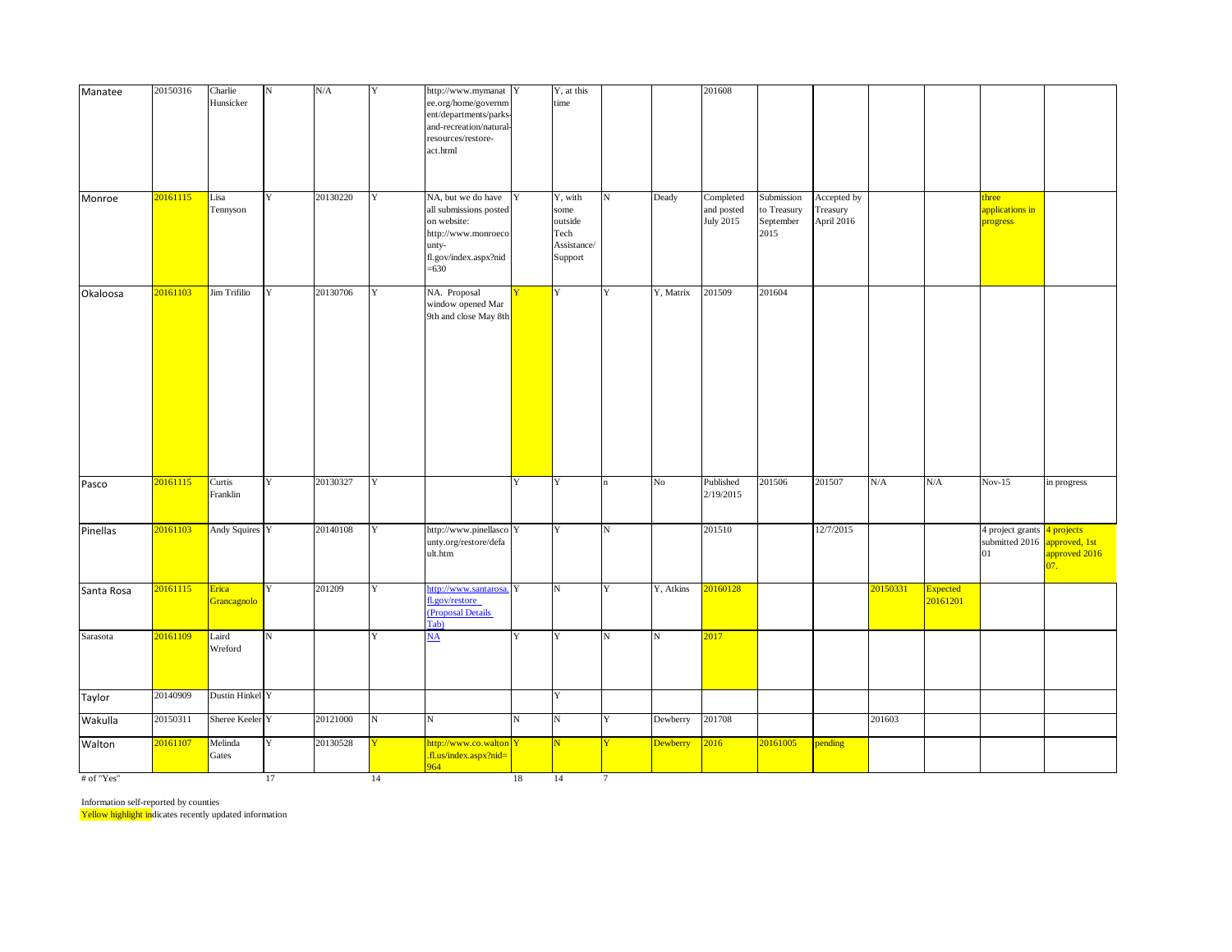| Manatee      | 20150316 | Charlie<br>Hunsicker | $_{\rm N}$  | N/A      | $\mathbf Y$ | http://www.mymanat Y<br>ee.org/home/governm<br>ent/departments/parks<br>and-recreation/natural-<br>resources/restore-<br>act.html |             | Y, at this<br>time                                           |                    |                 | 201608                               |                                                |                                       |          |                             |                                          |                                                     |
|--------------|----------|----------------------|-------------|----------|-------------|-----------------------------------------------------------------------------------------------------------------------------------|-------------|--------------------------------------------------------------|--------------------|-----------------|--------------------------------------|------------------------------------------------|---------------------------------------|----------|-----------------------------|------------------------------------------|-----------------------------------------------------|
| Monroe       | 20161115 | Lisa<br>Tennyson     | $\mathbf Y$ | 20130220 | Y           | NA, but we do have<br>all submissions posted<br>on website:<br>http://www.monroeco<br>unty-<br>fl.gov/index.aspx?nid<br>$= 630$   | Y           | Y, with<br>some<br>outside<br>Tech<br>Assistance/<br>Support | $\mathbf N$        | Deady           | Completed<br>and posted<br>July 2015 | Submission<br>to Treasury<br>September<br>2015 | Accepted by<br>Treasury<br>April 2016 |          |                             | three<br>applications in<br>progress     |                                                     |
| Okaloosa     | 20161103 | <b>Jim Trifilio</b>  | Y           | 20130706 | Y           | NA. Proposal<br>window opened Mar<br>9th and close May 8th                                                                        |             | Y                                                            | Y                  | Y, Matrix       | 201509                               | 201604                                         |                                       |          |                             |                                          |                                                     |
| Pasco        | 20161115 | Curtis<br>Franklin   | Y           | 20130327 | Y           |                                                                                                                                   | Y           | Y                                                            | 'n                 | $\rm No$        | Published<br>2/19/2015               | 201506                                         | 201507                                | N/A      | N/A                         | $Nov-15$                                 | in progress                                         |
| Pinellas     | 20161103 | Andy Squires Y       |             | 20140108 | Y           | http://www.pinellasco Y<br>unty.org/restore/defa<br>ult.htm                                                                       |             | $\mathbf Y$                                                  | $_{\rm N}$         |                 | 201510                               |                                                | 12/7/2015                             |          |                             | 4 project grants<br>submitted 2016<br>01 | 4 projects<br>approved, 1st<br>approved 2016<br>07. |
| Santa Rosa   | 20161115 | Erica<br>Grancagnolo | Y           | 201209   | Y           | http://www.santarosa. Y<br>fl.gov/restore<br>(Proposal Details<br>Tab)                                                            |             | $\mathbf N$                                                  | Y                  | Y, Atkins       | 20160128                             |                                                |                                       | 20150331 | <b>Expected</b><br>20161201 |                                          |                                                     |
| Sarasota     | 20161109 | Laird<br>Wreford     | N           |          | Y           | $\underline{\mathbf{NA}}$                                                                                                         | Y           | Y                                                            | $\overline{\rm N}$ | N               | 2017                                 |                                                |                                       |          |                             |                                          |                                                     |
| Taylor       | 20140909 | Dustin Hinkel Y      |             |          |             |                                                                                                                                   |             | $\mathbf Y$                                                  |                    |                 |                                      |                                                |                                       |          |                             |                                          |                                                     |
| Wakulla      | 20150311 | Sheree Keeler Y      |             | 20121000 | ${\bf N}$   | ${\bf N}$                                                                                                                         | $\mathbf N$ | ${\bf N}$                                                    | Y                  | Dewberry        | 201708                               |                                                |                                       | 201603   |                             |                                          |                                                     |
| Walton       | 20161107 | Melinda<br>Gates     | Y           | 20130528 |             | http://www.co.walton Y<br>.fl.us/index.aspx?nid=<br>964                                                                           |             | N                                                            | Y                  | <b>Dewberry</b> | 2016                                 | 20161005                                       | pending                               |          |                             |                                          |                                                     |
| $#$ of "Yes" |          |                      | 17          |          | 14          |                                                                                                                                   | 18          | 14                                                           | $7\phantom{.0}$    |                 |                                      |                                                |                                       |          |                             |                                          |                                                     |

Information self-reported by counties

Yellow highlight indicates recently updated information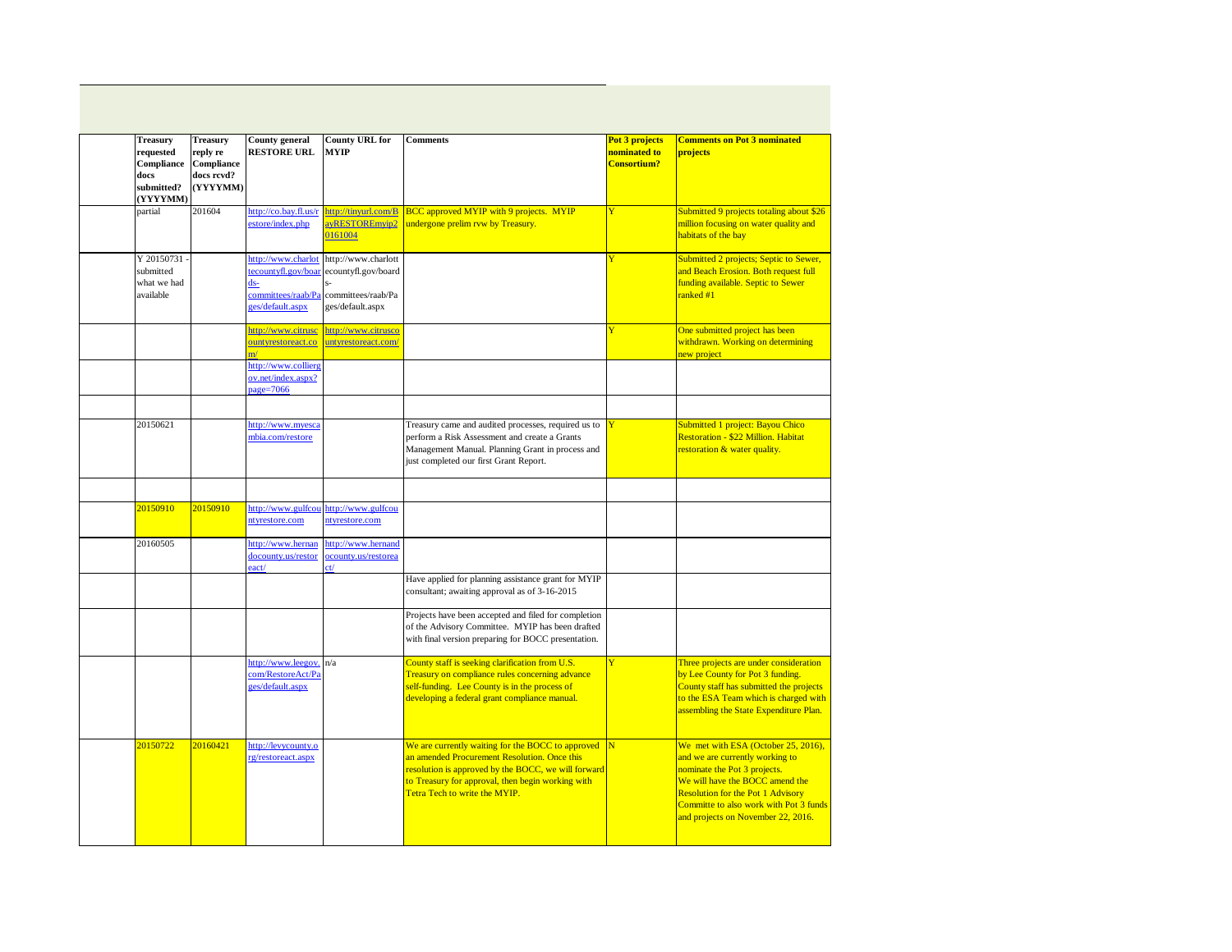| <b>Treasury</b><br>Treasury<br>requested<br>reply re<br>Compliance<br>Compliance<br>docs<br>docs revd?<br>(YYYYMM)<br>submitted?<br>(YYYYMM) |          | <b>County general</b><br><b>RESTORE URL</b>                                                   | <b>County URL for</b><br><b>MYIP</b>                                                 | <b>Comments</b>                                                                                                                                                                                                                                | Pot 3 projects<br>nominated to<br><b>Consortium?</b> | <b>Comments on Pot 3 nominated</b><br>projects                                                                                                                                                                                                                        |
|----------------------------------------------------------------------------------------------------------------------------------------------|----------|-----------------------------------------------------------------------------------------------|--------------------------------------------------------------------------------------|------------------------------------------------------------------------------------------------------------------------------------------------------------------------------------------------------------------------------------------------|------------------------------------------------------|-----------------------------------------------------------------------------------------------------------------------------------------------------------------------------------------------------------------------------------------------------------------------|
| partial                                                                                                                                      | 201604   | http://co.bay.fl.us/r<br>estore/index.php                                                     | http://tinyurl.com/B<br>avRESTOREmvip2<br>0161004                                    | <b>BCC</b> approved MYIP with 9 projects. MYIP<br>undergone prelim rvw by Treasury.                                                                                                                                                            | Ÿ                                                    | Submitted 9 projects totaling about \$26<br>million focusing on water quality and<br>habitats of the bay                                                                                                                                                              |
| Y 20150731<br>submitted<br>what we had<br>available                                                                                          |          | http://www.charlot<br>tecountyfl.gov/boar<br>$ds$ -<br>committees/raab/Pa<br>ges/default.aspx | http://www.charlott<br>ecountyfl.gov/board<br>committees/raab/Pa<br>ges/default.aspx |                                                                                                                                                                                                                                                |                                                      | Submitted 2 projects; Septic to Sewer,<br>and Beach Erosion. Both request full<br>funding available. Septic to Sewer<br>ranked #1                                                                                                                                     |
|                                                                                                                                              |          | http://www.citrusc<br>ountyrestoreact.co                                                      | http://www.citrusco<br>untyrestoreact.com/                                           |                                                                                                                                                                                                                                                |                                                      | One submitted project has been<br>withdrawn. Working on determining<br>new project                                                                                                                                                                                    |
|                                                                                                                                              |          | http://www.collierg<br>ov.net/index.aspx?<br>$a$ ge=7066                                      |                                                                                      |                                                                                                                                                                                                                                                |                                                      |                                                                                                                                                                                                                                                                       |
| 20150621                                                                                                                                     |          | http://www.myesca<br>mbia.com/restore                                                         |                                                                                      | Treasury came and audited processes, required us to<br>perform a Risk Assessment and create a Grants<br>Management Manual. Planning Grant in process and<br>just completed our first Grant Report.                                             |                                                      | Submitted 1 project: Bayou Chico<br>Restoration - \$22 Million. Habitat<br>restoration & water quality.                                                                                                                                                               |
|                                                                                                                                              |          |                                                                                               |                                                                                      |                                                                                                                                                                                                                                                |                                                      |                                                                                                                                                                                                                                                                       |
| 20150910                                                                                                                                     | 20150910 | http://www.gulfcou<br>ntyrestore.com                                                          | http://www.gulfcou<br>ntyrestore.com                                                 |                                                                                                                                                                                                                                                |                                                      |                                                                                                                                                                                                                                                                       |
| 20160505                                                                                                                                     |          | http://www.hernan<br>docounty.us/restor<br>eact/                                              | http://www.hernand<br>ocounty.us/restorea                                            |                                                                                                                                                                                                                                                |                                                      |                                                                                                                                                                                                                                                                       |
|                                                                                                                                              |          |                                                                                               |                                                                                      | Have applied for planning assistance grant for MYIP<br>consultant; awaiting approval as of 3-16-2015                                                                                                                                           |                                                      |                                                                                                                                                                                                                                                                       |
|                                                                                                                                              |          |                                                                                               |                                                                                      | Projects have been accepted and filed for completion<br>of the Advisory Committee. MYIP has been drafted<br>with final version preparing for BOCC presentation.                                                                                |                                                      |                                                                                                                                                                                                                                                                       |
|                                                                                                                                              |          | http://www.leegov.<br>com/RestoreAct/Pa<br>ges/default.aspx                                   | n/a                                                                                  | County staff is seeking clarification from U.S.<br>Treasury on compliance rules concerning advance<br>self-funding. Lee County is in the process of<br>developing a federal grant compliance manual.                                           | Ÿ                                                    | Three projects are under consideration<br>by Lee County for Pot 3 funding.<br>County staff has submitted the projects<br>to the ESA Team which is charged with<br>assembling the State Expenditure Plan.                                                              |
| 20150722                                                                                                                                     | 20160421 | http://levycounty.o<br>rg/restoreact.aspx                                                     |                                                                                      | We are currently waiting for the BOCC to approved<br>an amended Procurement Resolution. Once this<br>resolution is approved by the BOCC, we will forward<br>to Treasury for approval, then begin working with<br>Tetra Tech to write the MYIP. | IN                                                   | We met with ESA (October 25, 2016),<br>and we are currently working to<br>nominate the Pot 3 projects.<br>We will have the BOCC amend the<br><b>Resolution for the Pot 1 Advisory</b><br>Committe to also work with Pot 3 funds<br>and projects on November 22, 2016. |